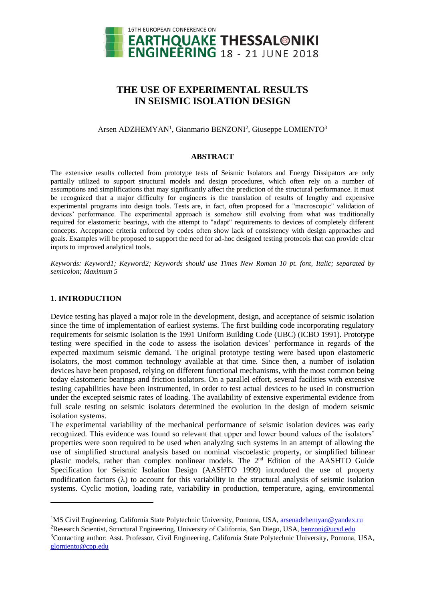

# **THE USE OF EXPERIMENTAL RESULTS IN SEISMIC ISOLATION DESIGN**

### Arsen ADZHEMYAN<sup>1</sup>, Gianmario BENZONI<sup>2</sup>, Giuseppe LOMIENTO<sup>3</sup>

#### **ABSTRACT**

The extensive results collected from prototype tests of Seismic Isolators and Energy Dissipators are only partially utilized to support structural models and design procedures, which often rely on a number of assumptions and simplifications that may significantly affect the prediction of the structural performance. It must be recognized that a major difficulty for engineers is the translation of results of lengthy and expensive experimental programs into design tools. Tests are, in fact, often proposed for a "macroscopic" validation of devices' performance. The experimental approach is somehow still evolving from what was traditionally required for elastomeric bearings, with the attempt to "adapt" requirements to devices of completely different concepts. Acceptance criteria enforced by codes often show lack of consistency with design approaches and goals. Examples will be proposed to support the need for ad-hoc designed testing protocols that can provide clear inputs to improved analytical tools.

*Keywords: Keyword1; Keyword2; Keywords should use Times New Roman 10 pt. font, Italic; separated by semicolon; Maximum 5*

### **1. INTRODUCTION**

 $\overline{a}$ 

Device testing has played a major role in the development, design, and acceptance of seismic isolation since the time of implementation of earliest systems. The first building code incorporating regulatory requirements for seismic isolation is the 1991 Uniform Building Code (UBC) (ICBO 1991). Prototype testing were specified in the code to assess the isolation devices' performance in regards of the expected maximum seismic demand. The original prototype testing were based upon elastomeric isolators, the most common technology available at that time. Since then, a number of isolation devices have been proposed, relying on different functional mechanisms, with the most common being today elastomeric bearings and friction isolators. On a parallel effort, several facilities with extensive testing capabilities have been instrumented, in order to test actual devices to be used in construction under the excepted seismic rates of loading. The availability of extensive experimental evidence from full scale testing on seismic isolators determined the evolution in the design of modern seismic isolation systems.

The experimental variability of the mechanical performance of seismic isolation devices was early recognized. This evidence was found so relevant that upper and lower bound values of the isolators' properties were soon required to be used when analyzing such systems in an attempt of allowing the use of simplified structural analysis based on nominal viscoelastic property, or simplified bilinear plastic models, rather than complex nonlinear models. The 2<sup>nd</sup> Edition of the AASHTO Guide Specification for Seismic Isolation Design (AASHTO 1999) introduced the use of property modification factors  $(\lambda)$  to account for this variability in the structural analysis of seismic isolation systems. Cyclic motion, loading rate, variability in production, temperature, aging, environmental

<sup>&</sup>lt;sup>1</sup>MS Civil Engineering, California State Polytechnic University, Pomona, USA, [arsenadzhemyan@yandex.ru](mailto:arsenadzhemyan@yandex.ru)

<sup>&</sup>lt;sup>2</sup>Research Scientist, Structural Engineering, University of California, San Diego, USA, [benzoni@ucsd.edu](mailto:benzoni@ucsd.edu)

<sup>3</sup>Contacting author: Asst. Professor, Civil Engineering, California State Polytechnic University, Pomona, USA, [glomiento@cpp.edu](mailto:glomiento@cpp.edu)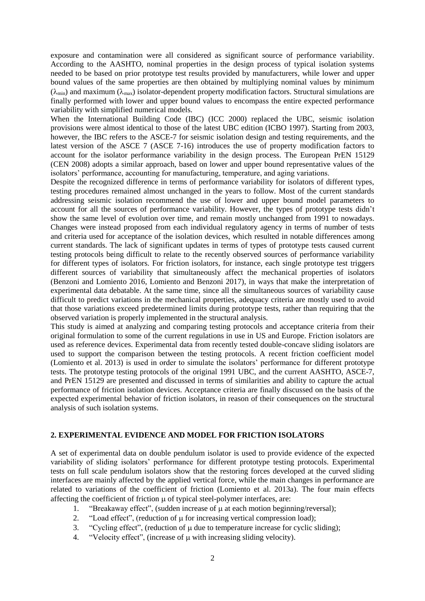exposure and contamination were all considered as significant source of performance variability. According to the AASHTO, nominal properties in the design process of typical isolation systems needed to be based on prior prototype test results provided by manufacturers, while lower and upper bound values of the same properties are then obtained by multiplying nominal values by minimum  $(\lambda_{min})$  and maximum  $(\lambda_{max})$  isolator-dependent property modification factors. Structural simulations are finally performed with lower and upper bound values to encompass the entire expected performance variability with simplified numerical models.

When the International Building Code (IBC) (ICC 2000) replaced the UBC, seismic isolation provisions were almost identical to those of the latest UBC edition (ICBO 1997). Starting from 2003, however, the IBC refers to the ASCE-7 for seismic isolation design and testing requirements, and the latest version of the ASCE 7 (ASCE 7-16) introduces the use of property modification factors to account for the isolator performance variability in the design process. The European PrEN 15129 (CEN 2008) adopts a similar approach, based on lower and upper bound representative values of the isolators' performance, accounting for manufacturing, temperature, and aging variations.

Despite the recognized difference in terms of performance variability for isolators of different types, testing procedures remained almost unchanged in the years to follow. Most of the current standards addressing seismic isolation recommend the use of lower and upper bound model parameters to account for all the sources of performance variability. However, the types of prototype tests didn't show the same level of evolution over time, and remain mostly unchanged from 1991 to nowadays. Changes were instead proposed from each individual regulatory agency in terms of number of tests and criteria used for acceptance of the isolation devices, which resulted in notable differences among current standards. The lack of significant updates in terms of types of prototype tests caused current testing protocols being difficult to relate to the recently observed sources of performance variability for different types of isolators. For friction isolators, for instance, each single prototype test triggers different sources of variability that simultaneously affect the mechanical properties of isolators (Benzoni and Lomiento 2016, Lomiento and Benzoni 2017), in ways that make the interpretation of experimental data debatable. At the same time, since all the simultaneous sources of variability cause difficult to predict variations in the mechanical properties, adequacy criteria are mostly used to avoid that those variations exceed predetermined limits during prototype tests, rather than requiring that the observed variation is properly implemented in the structural analysis.

This study is aimed at analyzing and comparing testing protocols and acceptance criteria from their original formulation to some of the current regulations in use in US and Europe. Friction isolators are used as reference devices. Experimental data from recently tested double-concave sliding isolators are used to support the comparison between the testing protocols. A recent friction coefficient model (Lomiento et al. 2013) is used in order to simulate the isolators' performance for different prototype tests. The prototype testing protocols of the original 1991 UBC, and the current AASHTO, ASCE-7, and PrEN 15129 are presented and discussed in terms of similarities and ability to capture the actual performance of friction isolation devices. Acceptance criteria are finally discussed on the basis of the expected experimental behavior of friction isolators, in reason of their consequences on the structural analysis of such isolation systems.

### **2. EXPERIMENTAL EVIDENCE AND MODEL FOR FRICTION ISOLATORS**

A set of experimental data on double pendulum isolator is used to provide evidence of the expected variability of sliding isolators' performance for different prototype testing protocols. Experimental tests on full scale pendulum isolators show that the restoring forces developed at the curved sliding interfaces are mainly affected by the applied vertical force, while the main changes in performance are related to variations of the coefficient of friction (Lomiento et al. 2013a). The four main effects affecting the coefficient of friction  $\mu$  of typical steel-polymer interfaces, are:

- 1. "Breakaway effect", (sudden increase of  $\mu$  at each motion beginning/reversal);
- 2. "Load effect", (reduction of  $\mu$  for increasing vertical compression load);
- 3. "Cycling effect", (reduction of  $\mu$  due to temperature increase for cyclic sliding);
- 4. "Velocity effect", (increase of  $\mu$  with increasing sliding velocity).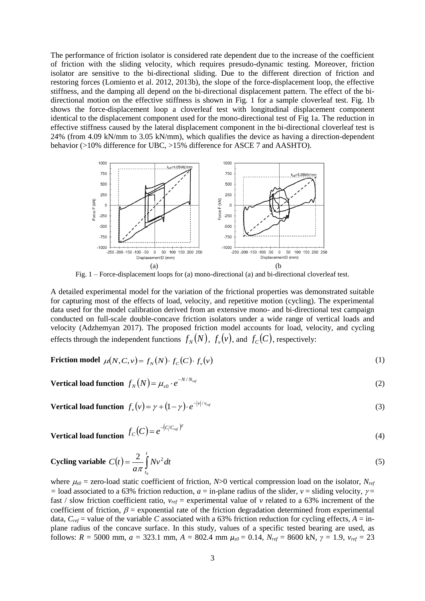The performance of friction isolator is considered rate dependent due to the increase of the coefficient of friction with the sliding velocity, which requires presudo-dynamic testing. Moreover, friction isolator are sensitive to the bi-directional sliding. Due to the different direction of friction and restoring forces (Lomiento et al. 2012, 2013b), the slope of the force-displacement loop, the effective stiffness, and the damping all depend on the bi-directional displacement pattern. The effect of the bidirectional motion on the effective stiffness is shown in Fig. 1 for a sample cloverleaf test. Fig. 1b shows the force-displacement loop a cloverleaf test with longitudinal displacement component identical to the displacement component used for the mono-directional test of Fig 1a. The reduction in effective stiffness caused by the lateral displacement component in the bi-directional cloverleaf test is 24% (from 4.09 kN/mm to 3.05 kN/mm), which qualifies the device as having a direction-dependent behavior (>10% difference for UBC, >15% difference for ASCE 7 and AASHTO).



Fig. 1 – Force-displacement loops for (a) mono-directional (a) and bi-directional cloverleaf test.

A detailed experimental model for the variation of the frictional properties was demonstrated suitable for capturing most of the effects of load, velocity, and repetitive motion (cycling). The experimental data used for the model calibration derived from an extensive mono- and bi-directional test campaign conducted on full-scale double-concave friction isolators under a wide range of vertical loads and velocity (Adzhemyan 2017). The proposed friction model accounts for load, velocity, and cycling effects through the independent functions  $f_N(N)$ ,  $f_\nu(\nu)$ , and  $f_C(C)$ , respectively:

$$
\text{Friction model } \mu(N, C, v) = f_N(N) \cdot f_C(C) \cdot f_v(v) \tag{1}
$$

**Vertical load function** 
$$
f_N(N) = \mu_{s0} \cdot e^{-N/N_{ref}}
$$
 (2)

**Vertical load function**  $f_{\nu}(\nu) = \gamma + (1 - \gamma) \cdot e^{-|\nu|/v_{\nu e\ell}}$ 

Vertical load function 
$$
f_c(C) = e^{-(C/C_{ref})^{\beta}}
$$
 (4)

(3)

Cyclicing variable 
$$
C(t) = \frac{2}{a\pi} \int_{t_0}^{t} Nv^2 dt
$$
 (5)

where  $\mu_{s0}$  = zero-load static coefficient of friction, *N*>0 vertical compression load on the isolator, *N<sub>ref</sub>*  $=$  load associated to a 63% friction reduction, *a* = in-plane radius of the slider, *v* = sliding velocity,  $\gamma$  = fast / slow friction coefficient ratio,  $v_{ref}$  = experimental value of *v* related to a 63% increment of the coefficient of friction,  $\beta$  = exponential rate of the friction degradation determined from experimental data,  $C_{ref}$  = value of the variable *C* associated with a 63% friction reduction for cycling effects,  $A = \text{in}$ plane radius of the concave surface. In this study, values of a specific tested bearing are used, as follows:  $R = 5000$  mm,  $a = 323.1$  mm,  $A = 802.4$  mm  $\mu_{s0} = 0.14$ ,  $N_{ref} = 8600$  kN,  $\gamma = 1.9$ ,  $v_{ref} = 23$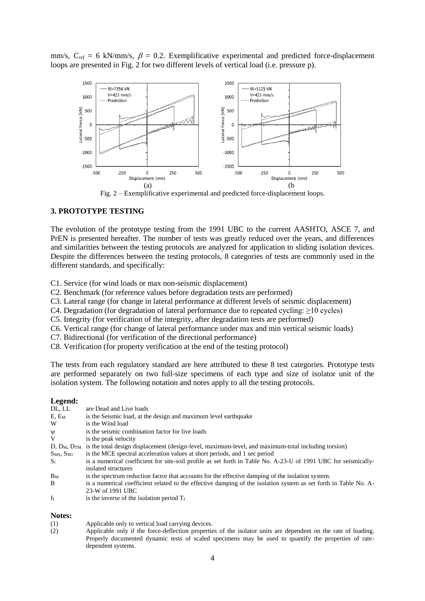mm/s,  $C_{ref} = 6$  kN/mm/s,  $\beta = 0.2$ . Exemplificative experimental and predicted force-displacement loops are presented in Fig. 2 for two different levels of vertical load (i.e. pressure p).



Fig. 2 – Exemplificative experimental and predicted force-displacement loops.

### **3. PROTOTYPE TESTING**

The evolution of the prototype testing from the 1991 UBC to the current AASHTO, ASCE 7, and PrEN is presented hereafter. The number of tests was greatly reduced over the years, and differences and similarities between the testing protocols are analyzed for application to sliding isolation devices. Despite the differences between the testing protocols, 8 categories of tests are commonly used in the different standards, and specifically:

C1. Service (for wind loads or max non-seismic displacement)

- C2. Benchmark (for reference values before degradation tests are performed)
- C3. Lateral range (for change in lateral performance at different levels of seismic displacement)
- C4. Degradation (for degradation of lateral performance due to repeated cycling: ≥10 cycles)
- C5. Integrity (for verification of the integrity, after degradation tests are performed)
- C6. Vertical range (for change of lateral performance under max and min vertical seismic loads)
- C7. Bidirectional (for verification of the directional performance)
- C8. Verification (for property verification at the end of the testing protocol)

The tests from each regulatory standard are here attributed to these 8 test categories. Prototype tests are performed separately on two full-size specimens of each type and size of isolator unit of the isolation system. The following notation and notes apply to all the testing protocols.

#### **Legend:**

| DL, LL                            | are Dead and Live loads                                                                                              |
|-----------------------------------|----------------------------------------------------------------------------------------------------------------------|
| E, E <sub>M</sub>                 | is the Seismic load, at the design and maximum level earthquake                                                      |
| W                                 | is the Wind load                                                                                                     |
| Ψ                                 | is the seismic combination factor for live loads                                                                     |
| V                                 | is the peak velocity                                                                                                 |
|                                   | $D, D_M, D_{TM}$ is the total design displacement (design-level, maximum-level, and maximum-total including torsion) |
| S <sub>MS</sub> , S <sub>M1</sub> | is the MCE spectral acceleration values at short periods, and 1 sec period                                           |
| S <sub>1</sub>                    | is a numerical coefficient for site-soil profile as set forth in Table No. A-23-U of 1991 UBC for seismically-       |
|                                   | isolated structures                                                                                                  |
| $B_M$                             | is the spectrum reduction factor that accounts for the effective damping of the isolation system.                    |
| B.                                | is a numerical coefficient related to the effective damping of the isolation system as set forth in Table No. A-     |
|                                   | 23-W of 1991 UBC                                                                                                     |
| $f_I$                             | is the inverse of the isolation period $TI$                                                                          |
|                                   |                                                                                                                      |

#### **Notes:**

- (1) Applicable only to vertical load carrying devices.
- (2) Applicable only if the force-deflection properties of the isolator units are dependent on the rate of loading. Properly documented dynamic tests of scaled specimens may be used to quantify the properties of ratedependent systems.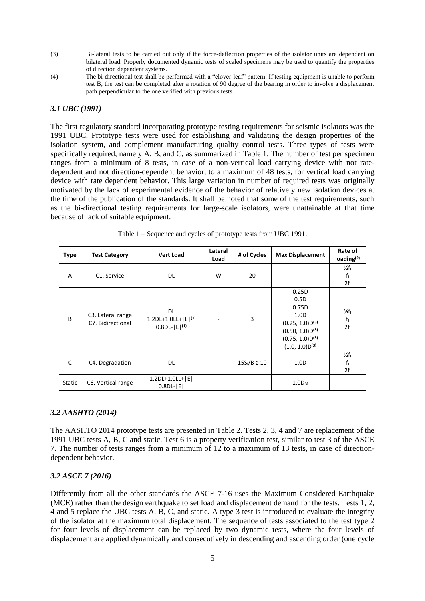- (3) Bi-lateral tests to be carried out only if the force-deflection properties of the isolator units are dependent on bilateral load. Properly documented dynamic tests of scaled specimens may be used to quantify the properties of direction dependent systems.
- (4) The bi-directional test shall be performed with a "clover-leaf" pattern. If testing equipment is unable to perform test B, the test can be completed after a rotation of 90 degree of the bearing in order to involve a displacement path perpendicular to the one verified with previous tests.

### *3.1 UBC (1991)*

The first regulatory standard incorporating prototype testing requirements for seismic isolators was the 1991 UBC. Prototype tests were used for establishing and validating the design properties of the isolation system, and complement manufacturing quality control tests. Three types of tests were specifically required, namely A, B, and C, as summarized in Table 1. The number of test per specimen ranges from a minimum of 8 tests, in case of a non-vertical load carrying device with not ratedependent and not direction-dependent behavior, to a maximum of 48 tests, for vertical load carrying device with rate dependent behavior. This large variation in number of required tests was originally motivated by the lack of experimental evidence of the behavior of relatively new isolation devices at the time of the publication of the standards. It shall be noted that some of the test requirements, such as the bi-directional testing requirements for large-scale isolators, were unattainable at that time because of lack of suitable equipment.

| <b>Type</b> | <b>Test Category</b>                   | <b>Vert Load</b>                                         | Lateral<br>Load          | # of Cycles      | <b>Max Displacement</b>                                                                                                                   | Rate of<br>loading $(2)$                     |
|-------------|----------------------------------------|----------------------------------------------------------|--------------------------|------------------|-------------------------------------------------------------------------------------------------------------------------------------------|----------------------------------------------|
| A           | C1. Service                            | DL.                                                      | W                        | 20               |                                                                                                                                           | $\frac{1}{2}f$<br>$f_1$<br>2f <sub>1</sub>   |
| B           | C3. Lateral range<br>C7. Bidirectional | DL.<br>1.2DL+1.0LL+ $ E ^{(1)}$<br>$0.8$ DL- $ E ^{(1)}$ |                          | 3                | 0.25D<br>0.5D<br>0.75D<br>1.0 <sub>D</sub><br>$(0.25, 1.0)D^{(3)}$<br>$(0.50, 1.0)D^{(3)}$<br>$(0.75, 1.0)D^{(3)}$<br>$(1.0, 1.0)D^{(3)}$ | $\frac{1}{2}f_1$<br>$f_1$<br>2f <sub>1</sub> |
| C           | C4. Degradation                        | DL.                                                      | $\overline{\phantom{a}}$ | $15S_I/B \ge 10$ | 1.0 <sub>D</sub>                                                                                                                          | $\frac{1}{2}f_1$<br>$f_1$<br>$2f_1$          |
| Static      | C6. Vertical range                     | 1.2DL+1.0LL+   E  <br>$0.8DL$ - $ E $                    |                          |                  | $1.0D_M$                                                                                                                                  |                                              |

Table 1 – Sequence and cycles of prototype tests from UBC 1991.

### *3.2 AASHTO (2014)*

The AASHTO 2014 prototype tests are presented in Table 2. Tests 2, 3, 4 and 7 are replacement of the 1991 UBC tests A, B, C and static. Test 6 is a property verification test, similar to test 3 of the ASCE 7. The number of tests ranges from a minimum of 12 to a maximum of 13 tests, in case of directiondependent behavior.

### *3.2 ASCE 7 (2016)*

Differently from all the other standards the ASCE 7-16 uses the Maximum Considered Earthquake (MCE) rather than the design earthquake to set load and displacement demand for the tests. Tests 1, 2, 4 and 5 replace the UBC tests A, B, C, and static. A type 3 test is introduced to evaluate the integrity of the isolator at the maximum total displacement. The sequence of tests associated to the test type 2 for four levels of displacement can be replaced by two dynamic tests, where the four levels of displacement are applied dynamically and consecutively in descending and ascending order (one cycle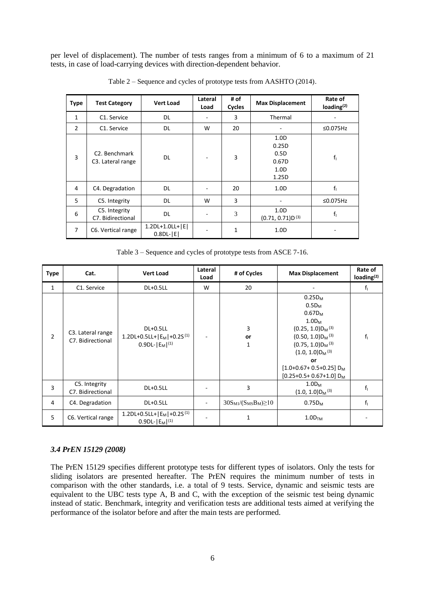per level of displacement). The number of tests ranges from a minimum of 6 to a maximum of 21 tests, in case of load-carrying devices with direction-dependent behavior.

| <b>Type</b>    | <b>Test Category</b>                            | <b>Vert Load</b>                     | Lateral<br>Load | # of<br>Cycles | <b>Max Displacement</b>                                                 | Rate of<br>loading $(2)$ |
|----------------|-------------------------------------------------|--------------------------------------|-----------------|----------------|-------------------------------------------------------------------------|--------------------------|
| 1              | C1. Service                                     | DL                                   |                 | 3              | Thermal                                                                 |                          |
| $\overline{2}$ | C1. Service                                     | DL.                                  | W               | 20             |                                                                         | $\leq$ 0.075Hz           |
| 3              | C <sub>2</sub> . Benchmark<br>C3. Lateral range | <b>DL</b>                            |                 | 3              | 1.0 <sub>D</sub><br>0.25D<br>0.5D<br>0.67D<br>1.0 <sub>D</sub><br>1.25D | $f_1$                    |
| 4              | C4. Degradation                                 | DL.                                  |                 | 20             | 1.0 <sub>D</sub>                                                        | f <sub>1</sub>           |
| 5              | C5. Integrity                                   | DL.                                  | W               | 3              |                                                                         | $\leq$ 0.075Hz           |
| 6              | C5. Integrity<br>C7. Bidirectional              | DL.                                  |                 | 3              | 1.0 <sub>D</sub><br>$(0.71, 0.71)D^{(3)}$                               | $f_1$                    |
| $\overline{7}$ | C6. Vertical range                              | $1.2DL+1.0LL+ E $<br>$0.8DL$ - $ E $ |                 | 1              | 1.0 <sub>D</sub>                                                        |                          |

Table 2 – Sequence and cycles of prototype tests from AASHTO (2014).

Table 3 – Sequence and cycles of prototype tests from ASCE 7-16.

| Type           | Cat.                                                | <b>Vert Load</b>                                                                 | Lateral<br>Load | # of Cycles                                  | <b>Max Displacement</b>                                                                                                                                                                                                                     | Rate of<br>loading $(2)$ |
|----------------|-----------------------------------------------------|----------------------------------------------------------------------------------|-----------------|----------------------------------------------|---------------------------------------------------------------------------------------------------------------------------------------------------------------------------------------------------------------------------------------------|--------------------------|
| $\mathbf{1}$   | C1. Service                                         | DL+0.5LL                                                                         | W               | 20                                           |                                                                                                                                                                                                                                             | f <sub>i</sub>           |
| $\overline{2}$ | C <sub>3</sub> . Lateral range<br>C7. Bidirectional | DL+0.5LL<br>1.2DL+0.5LL+ $ E_M $ +0.2S <sup>(1)</sup><br>$0.9DL$ - $ E_M ^{(1)}$ |                 | 3<br>or<br>1                                 | $0.25D_M$<br>$0.5D_M$<br>$0.67D_M$<br>$1.0D_M$<br>$(0.25, 1.0)D_M^{(3)}$<br>$(0.50, 1.0)D_M^{(3)}$<br>$(0.75, 1.0)D_M^{(3)}$<br>$(1.0, 1.0)D_M^{(3)}$<br>or<br>$[1.0+0.67+0.5+0.25]$ D <sub>M</sub><br>$[0.25+0.5+0.67+1.0]$ D <sub>M</sub> | $f_1$                    |
| 3              | C5. Integrity<br>C7. Bidirectional                  | DL+0.5LL                                                                         |                 | 3                                            | $1.0D_M$<br>$(1.0, 1.0)D_M^{(3)}$                                                                                                                                                                                                           | f <sub>1</sub>           |
| 4              | C4. Degradation                                     | DL+0.5LL                                                                         |                 | $30S_{\rm M1}/(S_{\rm MS}B_{\rm M}) \geq 10$ | $0.75D_M$                                                                                                                                                                                                                                   | f <sub>1</sub>           |
| 5              | C6. Vertical range                                  | 1.2DL+0.5LL+ $ E_M $ +0.2S <sup>(1)</sup><br>$0.9DL$ - $ E_M ^{(1)}$             |                 | 1                                            | 1.0D <sub>TM</sub>                                                                                                                                                                                                                          |                          |

### *3.4 PrEN 15129 (2008)*

The PrEN 15129 specifies different prototype tests for different types of isolators. Only the tests for sliding isolators are presented hereafter. The PrEN requires the minimum number of tests in comparison with the other standards, i.e. a total of 9 tests. Service, dynamic and seismic tests are equivalent to the UBC tests type A, B and C, with the exception of the seismic test being dynamic instead of static. Benchmark, integrity and verification tests are additional tests aimed at verifying the performance of the isolator before and after the main tests are performed.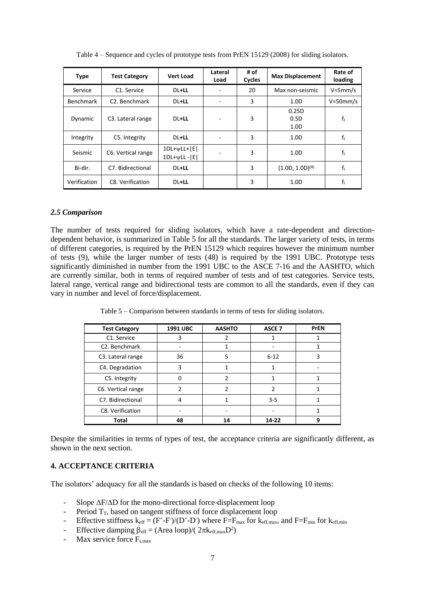| <b>Type</b>  | <b>Test Category</b>           | <b>Vert Load</b>                       | Lateral<br>Load | # of<br>Cycles | <b>Max Displacement</b> | Rate of<br>loading |
|--------------|--------------------------------|----------------------------------------|-----------------|----------------|-------------------------|--------------------|
| Service      | C1. Service                    | DL+LL                                  |                 | 20             | Max non-seismic         | $V = 5$ mm/s       |
| Benchmark    | C <sub>2</sub> . Benchmark     | DL+LL                                  |                 | 3              | 1.0 <sub>D</sub>        | $V = 50$ mm/s      |
| Dynamic      | C <sub>3</sub> . Lateral range | DL+LL                                  | ٠               | 3              | 0.25D<br>0.5D<br>1.0D   | f <sub>1</sub>     |
| Integrity    | C5. Integrity                  | DL+LL                                  |                 | 3              | 1.0 <sub>D</sub>        | $f_1$              |
| Seismic      | C6. Vertical range             | $1DL+ \nu LL+ E $<br>$1DL+WLL$ - $ E $ |                 | 3              | 1.0 <sub>D</sub>        | $f_1$              |
| Bi-dir.      | C7. Bidirectional              | DL+LL                                  |                 | 3              | $(1.0D, 1.0D)^{(4)}$    | $f_1$              |
| Verification | C8. Verification               | DL+LL                                  |                 | 3              | 1.0 <sub>D</sub>        | $f_1$              |

Table 4 – Sequence and cycles of prototype tests from PrEN 15129 (2008) for sliding isolators.

#### *2.5 Comparison*

The number of tests required for sliding isolators, which have a rate-dependent and directiondependent behavior, is summarized in Table 5 for all the standards. The larger variety of tests, in terms of different categories, is required by the PrEN 15129 which requires however the minimum number of tests (9), while the larger number of tests (48) is required by the 1991 UBC. Prototype tests significantly diminished in number from the 1991 UBC to the ASCE 7-16 and the AASHTO, which are currently similar, both in terms of required number of tests and of test categories. Service tests, lateral range, vertical range and bidirectional tests are common to all the standards, even if they can vary in number and level of force/displacement.

Table 5 – Comparison between standards in terms of tests for sliding isolators.

| <b>Test Category</b>       | 1991 UBC | <b>AASHTO</b> | <b>ASCE 7</b> | <b>PrEN</b> |
|----------------------------|----------|---------------|---------------|-------------|
| C1. Service                | 3        |               |               |             |
| C <sub>2</sub> . Benchmark |          |               |               |             |
| C3. Lateral range          | 36       | 5             | $6 - 12$      | 3           |
| C4. Degradation            | 3        |               |               |             |
| C5. Integrity              |          | 2             |               |             |
| C6. Vertical range         | 2        | າ             | 2             |             |
| C7. Bidirectional          | 4        |               | $3 - 5$       |             |
| C8. Verification           |          |               |               |             |
| Total                      | 48       | 14            | 14-22         | 9           |

Despite the similarities in terms of types of test, the acceptance criteria are significantly different, as shown in the next section.

## **4. ACCEPTANCE CRITERIA**

The isolators' adequacy for all the standards is based on checks of the following 10 items:

- Slope  $\Delta F/\Delta D$  for the mono-directional force-displacement loop
- Period  $T_T$ , based on tangent stiffness of force displacement loop
- Effective stiffness  $k_{eff} = (F^+ F^-)/(D^+ D^-)$  where  $F = F_{max}$  for  $k_{eff,max}$ , and  $F = F_{min}$  for  $k_{eff,min}$
- Effective damping  $\beta_{\text{eff}} = (Area loop)/(2\pi k_{\text{eff,max}}D^2)$
- Max service force  $F_{s,max}$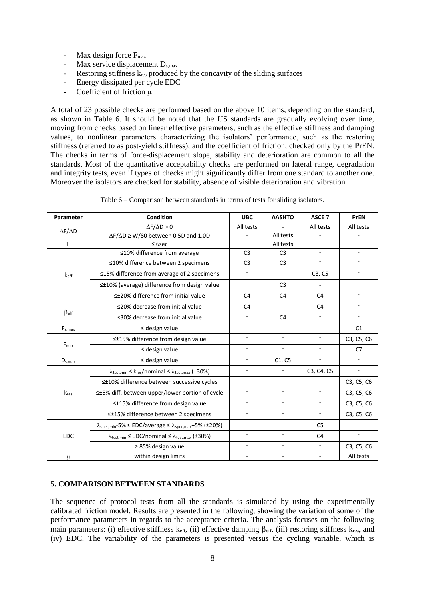- Max design force  $F_{\text{max}}$
- Max service displacement  $D_{s,max}$
- Restoring stiffness  $k_{res}$  produced by the concavity of the sliding surfaces
- Energy dissipated per cycle EDC
- Coefficient of friction u

A total of 23 possible checks are performed based on the above 10 items, depending on the standard, as shown in Table 6. It should be noted that the US standards are gradually evolving over time, moving from checks based on linear effective parameters, such as the effective stiffness and damping values, to nonlinear parameters characterizing the isolators' performance, such as the restoring stiffness (referred to as post-yield stiffness), and the coefficient of friction, checked only by the PrEN. The checks in terms of force-displacement slope, stability and deterioration are common to all the standards. Most of the quantitative acceptability checks are performed on lateral range, degradation and integrity tests, even if types of checks might significantly differ from one standard to another one. Moreover the isolators are checked for stability, absence of visible deterioration and vibration.

| Parameter                     | Condition                                                                                            | <b>UBC</b>                   | <b>AASHTO</b>            | ASCE <sub>7</sub>        | <b>PrEN</b>              |
|-------------------------------|------------------------------------------------------------------------------------------------------|------------------------------|--------------------------|--------------------------|--------------------------|
| $\Delta F/\Delta D$           | $\Delta F/\Delta D > 0$                                                                              | All tests                    | $\overline{a}$           | All tests                | All tests                |
|                               | $\Delta F/\Delta D \ge W/80$ between 0.5D and 1.0D                                                   |                              | All tests                |                          |                          |
| $T_T$                         | $\leq$ 6sec                                                                                          | $\overline{\phantom{a}}$     | All tests                | $\mathbf{r}$             | $\frac{1}{2}$            |
|                               | ≤10% difference from average                                                                         | C <sub>3</sub>               | C <sub>3</sub>           |                          | $\blacksquare$           |
|                               | ≤10% difference between 2 specimens                                                                  | C <sub>3</sub>               | C <sub>3</sub>           |                          | ÷.                       |
| $k_{\text{eff}}$              | ≤15% difference from average of 2 specimens                                                          | $\overline{\phantom{a}}$     | $\overline{\phantom{a}}$ | C3, C5                   |                          |
|                               | ≤±10% (average) difference from design value                                                         | $\blacksquare$               | C <sub>3</sub>           |                          | $\frac{1}{2}$            |
|                               | ≤±20% difference from initial value                                                                  | C <sub>4</sub>               | C <sub>4</sub>           | C <sub>4</sub>           | $\overline{\phantom{a}}$ |
|                               | ≤20% decrease from initial value                                                                     | C <sub>4</sub>               | $\blacksquare$           | C <sub>4</sub>           |                          |
| $\beta$ eff                   | ≤30% decrease from initial value                                                                     | $\overline{\phantom{a}}$     | C <sub>4</sub>           |                          | ÷,                       |
| $F_{s,\textrm{max}}$          | $\leq$ design value                                                                                  | $\overline{\phantom{a}}$     | $\overline{\phantom{a}}$ | $\omega$                 | C1                       |
| $F_{\text{max}}$              | ≤±15% difference from design value                                                                   | $\bar{\phantom{a}}$          | $\mathbf{r}$             | $\bar{a}$                | C3, C5, C6               |
|                               | $\leq$ design value                                                                                  | $\overline{\phantom{a}}$     | $\overline{\phantom{a}}$ |                          | C7                       |
| $\mathsf{D}_{\mathsf{s,max}}$ | $\leq$ design value                                                                                  | $\qquad \qquad \blacksquare$ | C1, C5                   |                          |                          |
|                               | $\lambda_{\text{test,min}} \leq k_{\text{res}}/$ nominal $\leq \lambda_{\text{test,max}}$ (±30%)     | $\overline{\phantom{a}}$     |                          | C3, C4, C5               | $\overline{\phantom{a}}$ |
|                               | ≤±10% difference between successive cycles                                                           | $\overline{\phantom{a}}$     | $\sim$                   |                          | C3, C5, C6               |
| $k_{res}$                     | ≤±5% diff. between upper/lower portion of cycle                                                      | ÷,                           | $\overline{\phantom{a}}$ |                          | C3, C5, C6               |
|                               | ≤±15% difference from design value                                                                   | $\overline{\phantom{m}}$     | ٠                        |                          | C3, C5, C6               |
|                               | ≤±15% difference between 2 specimens                                                                 | $\overline{\phantom{a}}$     | $\blacksquare$           | $\overline{\phantom{a}}$ | C3, C5, C6               |
| <b>EDC</b>                    | $\lambda_{\text{spec,min}}$ -5% $\leq$ EDC/average $\leq \lambda_{\text{spec,max}}$ +5% (±20%)       | ÷,                           | $\overline{\phantom{a}}$ | C <sub>5</sub>           | $\bar{a}$                |
|                               | $\lambda_{\text{test,min}} \leq \text{EDC}/\text{nominal} \leq \lambda_{\text{test,max}} (\pm 30\%)$ | $\overline{\phantom{a}}$     | $\blacksquare$           | C <sub>4</sub>           | $\overline{\phantom{a}}$ |
|                               | $\geq$ 85% design value                                                                              | $\overline{\phantom{a}}$     | $\overline{\phantom{a}}$ |                          | C3, C5, C6               |
| μ                             | within design limits                                                                                 | $\overline{\phantom{a}}$     | $\overline{\phantom{a}}$ | $\blacksquare$           | All tests                |

Table 6 – Comparison between standards in terms of tests for sliding isolators.

### **5. COMPARISON BETWEEN STANDARDS**

The sequence of protocol tests from all the standards is simulated by using the experimentally calibrated friction model. Results are presented in the following, showing the variation of some of the performance parameters in regards to the acceptance criteria. The analysis focuses on the following main parameters: (i) effective stiffness  $k_{\text{eff}}$ , (ii) effective damping  $\beta_{\text{eff}}$ , (iii) restoring stiffness  $k_{\text{res}}$ , and (iv) EDC. The variability of the parameters is presented versus the cycling variable, which is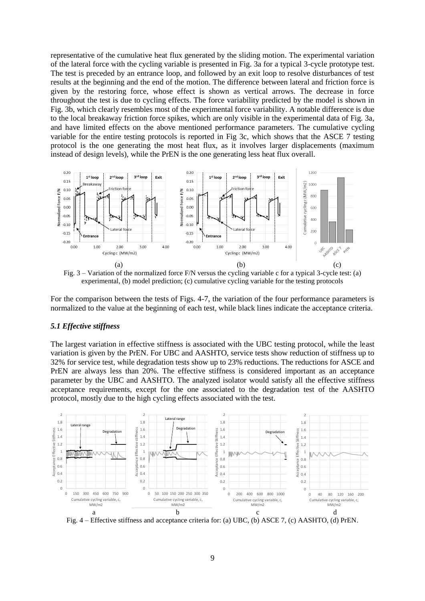representative of the cumulative heat flux generated by the sliding motion. The experimental variation of the lateral force with the cycling variable is presented in Fig. 3a for a typical 3-cycle prototype test. The test is preceded by an entrance loop, and followed by an exit loop to resolve disturbances of test results at the beginning and the end of the motion. The difference between lateral and friction force is given by the restoring force, whose effect is shown as vertical arrows. The decrease in force throughout the test is due to cycling effects. The force variability predicted by the model is shown in Fig. 3b, which clearly resembles most of the experimental force variability. A notable difference is due to the local breakaway friction force spikes, which are only visible in the experimental data of Fig. 3a, and have limited effects on the above mentioned performance parameters. The cumulative cycling variable for the entire testing protocols is reported in Fig 3c, which shows that the ASCE 7 testing protocol is the one generating the most heat flux, as it involves larger displacements (maximum instead of design levels), while the PrEN is the one generating less heat flux overall.



Fig. 3 – Variation of the normalized force F/N versus the cycling variable c for a typical 3-cycle test: (a) experimental, (b) model prediction; (c) cumulative cycling variable for the testing protocols

For the comparison between the tests of Figs. 4-7, the variation of the four performance parameters is normalized to the value at the beginning of each test, while black lines indicate the acceptance criteria.

#### *5.1 Effective stiffness*

The largest variation in effective stiffness is associated with the UBC testing protocol, while the least variation is given by the PrEN. For UBC and AASHTO, service tests show reduction of stiffness up to 32% for service test, while degradation tests show up to 23% reductions. The reductions for ASCE and PrEN are always less than 20%. The effective stiffness is considered important as an acceptance parameter by the UBC and AASHTO. The analyzed isolator would satisfy all the effective stiffness acceptance requirements, except for the one associated to the degradation test of the AASHTO protocol, mostly due to the high cycling effects associated with the test.



Fig. 4 – Effective stiffness and acceptance criteria for: (a) UBC, (b) ASCE 7, (c) AASHTO, (d) PrEN.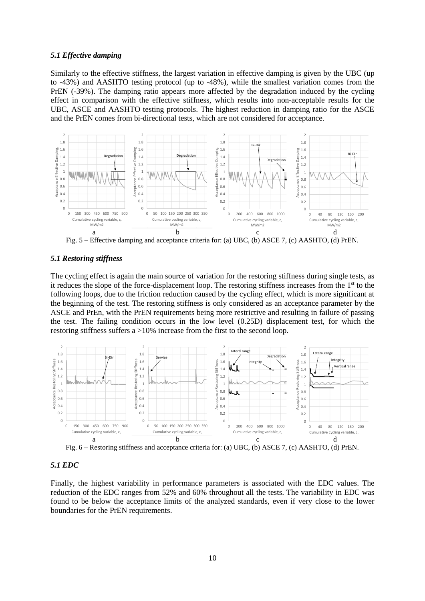#### *5.1 Effective damping*

Similarly to the effective stiffness, the largest variation in effective damping is given by the UBC (up to -43%) and AASHTO testing protocol (up to -48%), while the smallest variation comes from the PrEN (-39%). The damping ratio appears more affected by the degradation induced by the cycling effect in comparison with the effective stiffness, which results into non-acceptable results for the UBC, ASCE and AASHTO testing protocols. The highest reduction in damping ratio for the ASCE and the PrEN comes from bi-directional tests, which are not considered for acceptance.



Fig. 5 – Effective damping and acceptance criteria for: (a) UBC, (b) ASCE 7, (c) AASHTO, (d) PrEN.

#### *5.1 Restoring stiffness*

The cycling effect is again the main source of variation for the restoring stiffness during single tests, as it reduces the slope of the force-displacement loop. The restoring stiffness increases from the  $1<sup>st</sup>$  to the following loops, due to the friction reduction caused by the cycling effect, which is more significant at the beginning of the test. The restoring stiffness is only considered as an acceptance parameter by the ASCE and PrEn, with the PrEN requirements being more restrictive and resulting in failure of passing the test. The failing condition occurs in the low level (0.25D) displacement test, for which the restoring stiffness suffers a >10% increase from the first to the second loop.



Fig. 6 – Restoring stiffness and acceptance criteria for: (a) UBC, (b) ASCE 7, (c) AASHTO, (d) PrEN.

### *5.1 EDC*

Finally, the highest variability in performance parameters is associated with the EDC values. The reduction of the EDC ranges from 52% and 60% throughout all the tests. The variability in EDC was found to be below the acceptance limits of the analyzed standards, even if very close to the lower boundaries for the PrEN requirements.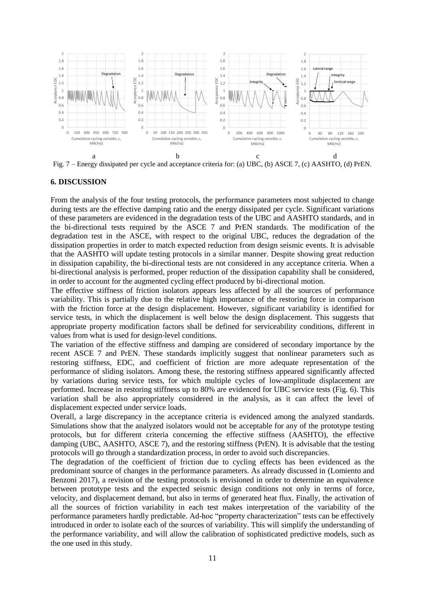

### **6. DISCUSSION**

From the analysis of the four testing protocols, the performance parameters most subjected to change during tests are the effective damping ratio and the energy dissipated per cycle. Significant variations of these parameters are evidenced in the degradation tests of the UBC and AASHTO standards, and in the bi-directional tests required by the ASCE 7 and PrEN standards. The modification of the degradation test in the ASCE, with respect to the original UBC, reduces the degradation of the dissipation properties in order to match expected reduction from design seismic events. It is advisable that the AASHTO will update testing protocols in a similar manner. Despite showing great reduction in dissipation capability, the bi-directional tests are not considered in any acceptance criteria. When a bi-directional analysis is performed, proper reduction of the dissipation capability shall be considered, in order to account for the augmented cycling effect produced by bi-directional motion.

The effective stiffness of friction isolators appears less affected by all the sources of performance variability. This is partially due to the relative high importance of the restoring force in comparison with the friction force at the design displacement. However, significant variability is identified for service tests, in which the displacement is well below the design displacement. This suggests that appropriate property modification factors shall be defined for serviceability conditions, different in values from what is used for design-level conditions.

The variation of the effective stiffness and damping are considered of secondary importance by the recent ASCE 7 and PrEN. These standards implicitly suggest that nonlinear parameters such as restoring stiffness, EDC, and coefficient of friction are more adequate representation of the performance of sliding isolators. Among these, the restoring stiffness appeared significantly affected by variations during service tests, for which multiple cycles of low-amplitude displacement are performed. Increase in restoring stiffness up to 80% are evidenced for UBC service tests (Fig. 6). This variation shall be also appropriately considered in the analysis, as it can affect the level of displacement expected under service loads.

Overall, a large discrepancy in the acceptance criteria is evidenced among the analyzed standards. Simulations show that the analyzed isolators would not be acceptable for any of the prototype testing protocols, but for different criteria concerning the effective stiffness (AASHTO), the effective damping (UBC, AASHTO, ASCE 7), and the restoring stiffness (PrEN). It is advisable that the testing protocols will go through a standardization process, in order to avoid such discrepancies.

The degradation of the coefficient of friction due to cycling effects has been evidenced as the predominant source of changes in the performance parameters. As already discussed in (Lomiento and Benzoni 2017), a revision of the testing protocols is envisioned in order to determine an equivalence between prototype tests and the expected seismic design conditions not only in terms of force, velocity, and displacement demand, but also in terms of generated heat flux. Finally, the activation of all the sources of friction variability in each test makes interpretation of the variability of the performance parameters hardly predictable. Ad-hoc "property characterization" tests can be effectively introduced in order to isolate each of the sources of variability. This will simplify the understanding of the performance variability, and will allow the calibration of sophisticated predictive models, such as the one used in this study.